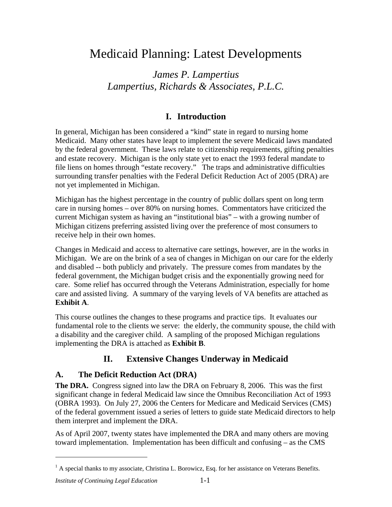# Medicaid Planning: Latest Developments

*James P. Lampertius Lampertius, Richards & Associates, P.L.C.* 

## **I. Introduction**

In general, Michigan has been considered a "kind" state in regard to nursing home Medicaid. Many other states have leapt to implement the severe Medicaid laws mandated by the federal government. These laws relate to citizenship requirements, gifting penalties and estate recovery. Michigan is the only state yet to enact the 1993 federal mandate to file liens on homes through "estate recovery." The traps and administrative difficulties surrounding transfer penalties with the Federal Deficit Reduction Act of 2005 (DRA) are not yet implemented in Michigan.

Michigan has the highest percentage in the country of public dollars spent on long term care in nursing homes – over 80% on nursing homes. Commentators have criticized the current Michigan system as having an "institutional bias" – with a growing number of Michigan citizens preferring assisted living over the preference of most consumers to receive help in their own homes.

Changes in Medicaid and access to alternative care settings, however, are in the works in Michigan. We are on the brink of a sea of changes in Michigan on our care for the elderly and disabled -- both publicly and privately. The pressure comes from mandates by the federal government, the Michigan budget crisis and the exponentially growing need for care. Some relief has occurred through the Veterans Administration, especially for home care and assisted living. A summary of the varying levels of VA benefits are attached as **Exhibit A**.

This course outlines the changes to these programs and practice tips. It evaluates our fundamental role to the clients we serve: the elderly, the community spouse, the child with a disability and the caregiver child. A sampling of the proposed Michigan regulations implementing the DRA is attached as **Exhibit B**.

## **II. Extensive Changes Underway in Medicaid**

## **A. The Deficit Reduction Act (DRA)**

**The DRA.** Congress signed into law the DRA on February 8, 2006. This was the first significant change in federal Medicaid law since the Omnibus Reconciliation Act of 1993 (OBRA 1993). On July 27, 2006 the Centers for Medicare and Medicaid Services (CMS) of the federal government issued a series of letters to guide state Medicaid directors to help them interpret and implement the DRA.

As of April 2007, twenty states have implemented the DRA and many others are moving toward implementation. Implementation has been difficult and confusing – as the CMS

 $\overline{a}$ 

 $<sup>1</sup>$  A special thanks to my associate, Christina L. Borowicz, Esq. for her assistance on Veterans Benefits.</sup>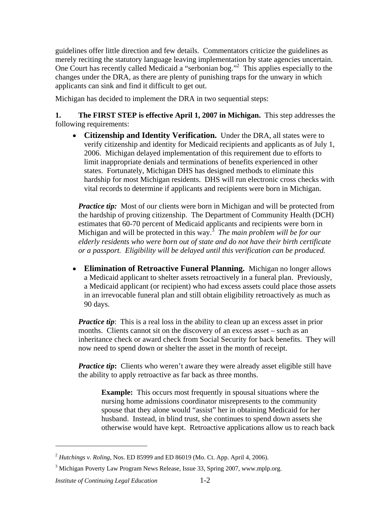guidelines offer little direction and few details. Commentators criticize the guidelines as merely reciting the statutory language leaving implementation by state agencies uncertain. One Court has recently called Medicaid a "serbonian bog."<sup>2</sup> This applies especially to the changes under the DRA, as there are plenty of punishing traps for the unwary in which applicants can sink and find it difficult to get out.

Michigan has decided to implement the DRA in two sequential steps:

**1. The FIRST STEP is effective April 1, 2007 in Michigan.** This step addresses the following requirements:

• **Citizenship and Identity Verification.** Under the DRA, all states were to verify citizenship and identity for Medicaid recipients and applicants as of July 1, 2006. Michigan delayed implementation of this requirement due to efforts to limit inappropriate denials and terminations of benefits experienced in other states. Fortunately, Michigan DHS has designed methods to eliminate this hardship for most Michigan residents. DHS will run electronic cross checks with vital records to determine if applicants and recipients were born in Michigan.

*Practice tip:* Most of our clients were born in Michigan and will be protected from the hardship of proving citizenship. The Department of Community Health (DCH) estimates that 60-70 percent of Medicaid applicants and recipients were born in Michigan and will be protected in this way.<sup>3</sup> *The main problem will be for our elderly residents who were born out of state and do not have their birth certificate or a passport. Eligibility will be delayed until this verification can be produced.*

• **Elimination of Retroactive Funeral Planning.** Michigan no longer allows a Medicaid applicant to shelter assets retroactively in a funeral plan. Previously, a Medicaid applicant (or recipient) who had excess assets could place those assets in an irrevocable funeral plan and still obtain eligibility retroactively as much as 90 days.

*Practice tip*: This is a real loss in the ability to clean up an excess asset in prior months. Clients cannot sit on the discovery of an excess asset – such as an inheritance check or award check from Social Security for back benefits. They will now need to spend down or shelter the asset in the month of receipt.

*Practice tip*: Clients who weren't aware they were already asset eligible still have the ability to apply retroactive as far back as three months.

**Example:** This occurs most frequently in spousal situations where the nursing home admissions coordinator misrepresents to the community spouse that they alone would "assist" her in obtaining Medicaid for her husband. Instead, in blind trust, she continues to spend down assets she otherwise would have kept. Retroactive applications allow us to reach back

 $\overline{a}$ 

<sup>2</sup> *Hutchings v. Roling*, Nos. ED 85999 and ED 86019 (Mo. Ct. App. April 4, 2006).

<sup>&</sup>lt;sup>3</sup> Michigan Poverty Law Program News Release, Issue 33, Spring 2007, www.mplp.org.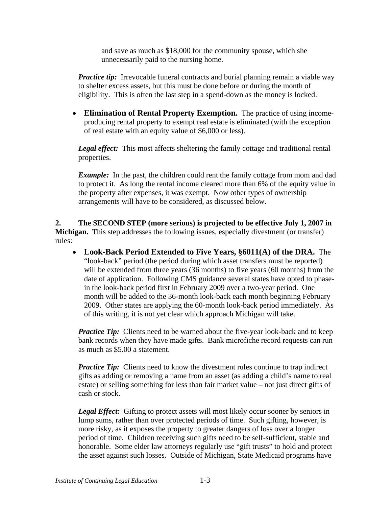and save as much as \$18,000 for the community spouse, which she unnecessarily paid to the nursing home.

*Practice tip:* Irrevocable funeral contracts and burial planning remain a viable way to shelter excess assets, but this must be done before or during the month of eligibility. This is often the last step in a spend-down as the money is locked.

• **Elimination of Rental Property Exemption.** The practice of using incomeproducing rental property to exempt real estate is eliminated (with the exception of real estate with an equity value of \$6,000 or less).

*Legal effect:* This most affects sheltering the family cottage and traditional rental properties.

*Example:* In the past, the children could rent the family cottage from mom and dad to protect it. As long the rental income cleared more than 6% of the equity value in the property after expenses, it was exempt. Now other types of ownership arrangements will have to be considered, as discussed below.

**2. The SECOND STEP (more serious) is projected to be effective July 1, 2007 in Michigan.** This step addresses the following issues, especially divestment (or transfer) rules:

• **Look-Back Period Extended to Five Years, §6011(A) of the DRA.** The "look-back" period (the period during which asset transfers must be reported) will be extended from three years (36 months) to five years (60 months) from the date of application. Following CMS guidance several states have opted to phasein the look-back period first in February 2009 over a two-year period. One month will be added to the 36-month look-back each month beginning February 2009. Other states are applying the 60-month look-back period immediately. As of this writing, it is not yet clear which approach Michigan will take.

*Practice Tip:* Clients need to be warned about the five-year look-back and to keep bank records when they have made gifts. Bank microfiche record requests can run as much as \$5.00 a statement.

*Practice Tip:* Clients need to know the divestment rules continue to trap indirect gifts as adding or removing a name from an asset (as adding a child's name to real estate) or selling something for less than fair market value – not just direct gifts of cash or stock.

**Legal Effect:** Gifting to protect assets will most likely occur sooner by seniors in lump sums, rather than over protected periods of time. Such gifting, however, is more risky, as it exposes the property to greater dangers of loss over a longer period of time. Children receiving such gifts need to be self-sufficient, stable and honorable. Some elder law attorneys regularly use "gift trusts" to hold and protect the asset against such losses. Outside of Michigan, State Medicaid programs have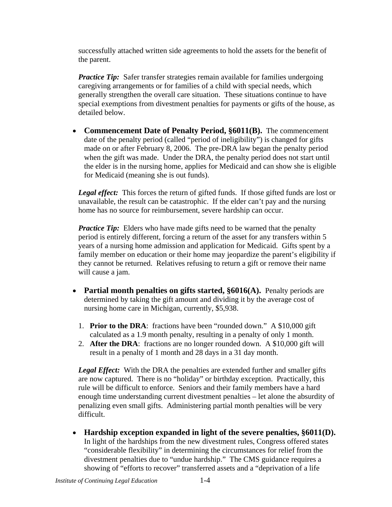successfully attached written side agreements to hold the assets for the benefit of the parent.

*Practice Tip:* Safer transfer strategies remain available for families undergoing caregiving arrangements or for families of a child with special needs, which generally strengthen the overall care situation. These situations continue to have special exemptions from divestment penalties for payments or gifts of the house, as detailed below.

• **Commencement Date of Penalty Period, §6011(B).** The commencement date of the penalty period (called "period of ineligibility") is changed for gifts made on or after February 8, 2006. The pre-DRA law began the penalty period when the gift was made. Under the DRA, the penalty period does not start until the elder is in the nursing home, applies for Medicaid and can show she is eligible for Medicaid (meaning she is out funds).

Legal effect: This forces the return of gifted funds. If those gifted funds are lost or unavailable, the result can be catastrophic. If the elder can't pay and the nursing home has no source for reimbursement, severe hardship can occur.

*Practice Tip:* Elders who have made gifts need to be warned that the penalty period is entirely different, forcing a return of the asset for any transfers within 5 years of a nursing home admission and application for Medicaid. Gifts spent by a family member on education or their home may jeopardize the parent's eligibility if they cannot be returned. Relatives refusing to return a gift or remove their name will cause a jam.

- **Partial month penalties on gifts started, §6016(A).** Penalty periods are determined by taking the gift amount and dividing it by the average cost of nursing home care in Michigan, currently, \$5,938.
	- 1. **Prior to the DRA**: fractions have been "rounded down." A \$10,000 gift calculated as a 1.9 month penalty, resulting in a penalty of only 1 month.
	- 2. **After the DRA**: fractions are no longer rounded down. A \$10,000 gift will result in a penalty of 1 month and 28 days in a 31 day month.

*Legal Effect:* With the DRA the penalties are extended further and smaller gifts are now captured. There is no "holiday" or birthday exception. Practically, this rule will be difficult to enforce. Seniors and their family members have a hard enough time understanding current divestment penalties – let alone the absurdity of penalizing even small gifts. Administering partial month penalties will be very difficult.

• **Hardship exception expanded in light of the severe penalties, §6011(D).** In light of the hardships from the new divestment rules, Congress offered states "considerable flexibility" in determining the circumstances for relief from the divestment penalties due to "undue hardship." The CMS guidance requires a showing of "efforts to recover" transferred assets and a "deprivation of a life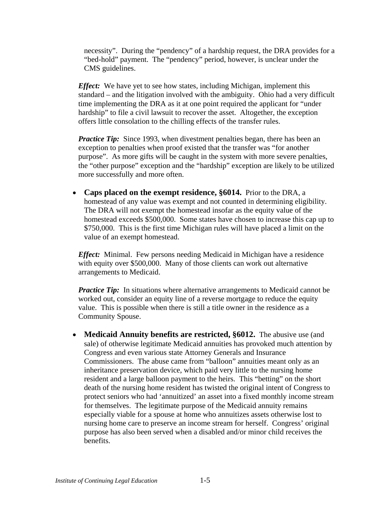necessity". During the "pendency" of a hardship request, the DRA provides for a "bed-hold" payment. The "pendency" period, however, is unclear under the CMS guidelines.

*Effect:* We have yet to see how states, including Michigan, implement this standard – and the litigation involved with the ambiguity. Ohio had a very difficult time implementing the DRA as it at one point required the applicant for "under hardship" to file a civil lawsuit to recover the asset. Altogether, the exception offers little consolation to the chilling effects of the transfer rules.

*Practice Tip:* Since 1993, when divestment penalties began, there has been an exception to penalties when proof existed that the transfer was "for another purpose". As more gifts will be caught in the system with more severe penalties, the "other purpose" exception and the "hardship" exception are likely to be utilized more successfully and more often.

• **Caps placed on the exempt residence, §6014.** Prior to the DRA, a homestead of any value was exempt and not counted in determining eligibility. The DRA will not exempt the homestead insofar as the equity value of the homestead exceeds \$500,000. Some states have chosen to increase this cap up to \$750,000. This is the first time Michigan rules will have placed a limit on the value of an exempt homestead.

*Effect:* Minimal. Few persons needing Medicaid in Michigan have a residence with equity over \$500,000. Many of those clients can work out alternative arrangements to Medicaid.

*Practice Tip:* In situations where alternative arrangements to Medicaid cannot be worked out, consider an equity line of a reverse mortgage to reduce the equity value. This is possible when there is still a title owner in the residence as a Community Spouse.

• **Medicaid Annuity benefits are restricted, §6012.** The abusive use (and sale) of otherwise legitimate Medicaid annuities has provoked much attention by Congress and even various state Attorney Generals and Insurance Commissioners. The abuse came from "balloon" annuities meant only as an inheritance preservation device, which paid very little to the nursing home resident and a large balloon payment to the heirs. This "betting" on the short death of the nursing home resident has twisted the original intent of Congress to protect seniors who had 'annuitized' an asset into a fixed monthly income stream for themselves. The legitimate purpose of the Medicaid annuity remains especially viable for a spouse at home who annuitizes assets otherwise lost to nursing home care to preserve an income stream for herself. Congress' original purpose has also been served when a disabled and/or minor child receives the benefits.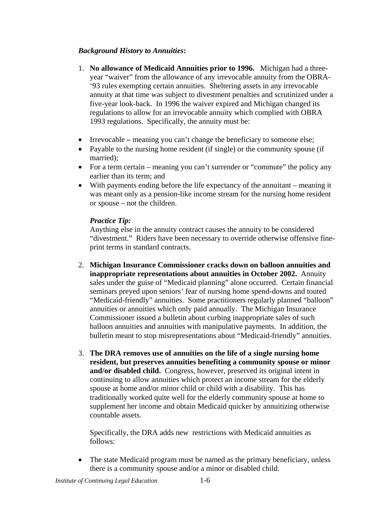### *Background History to Annuities***:**

- 1. **No allowance of Medicaid Annuities prior to 1996.** Michigan had a threeyear "waiver" from the allowance of any irrevocable annuity from the OBRA- '93 rules exempting certain annuities. Sheltering assets in any irrevocable annuity at that time was subject to divestment penalties and scrutinized under a five-year look-back. In 1996 the waiver expired and Michigan changed its regulations to allow for an irrevocable annuity which complied with OBRA 1993 regulations. Specifically, the annuity must be:
- Irrevocable meaning you can't change the beneficiary to someone else;
- Payable to the nursing home resident (if single) or the community spouse (if married);
- For a term certain meaning you can't surrender or "commute" the policy any earlier than its term; and
- With payments ending before the life expectancy of the annuitant meaning it was meant only as a pension-like income stream for the nursing home resident or spouse – not the children.

### *Practice Tip:*

Anything else in the annuity contract causes the annuity to be considered "divestment." Riders have been necessary to override otherwise offensive fineprint terms in standard contracts.

- 2. **Michigan Insurance Commissioner cracks down on balloon annuities and inappropriate representations about annuities in October 2002.** Annuity sales under the guise of "Medicaid planning" alone occurred. Certain financial seminars preyed upon seniors' fear of nursing home spend-downs and touted "Medicaid-friendly" annuities. Some practitioners regularly planned "balloon" annuities or annuities which only paid annually. The Michigan Insurance Commissioner issued a bulletin about curbing inappropriate sales of such balloon annuities and annuities with manipulative payments. In addition, the bulletin meant to stop misrepresentations about "Medicaid-friendly" annuities.
- 3. **The DRA removes use of annuities on the life of a single nursing home resident, but preserves annuities benefiting a community spouse or minor and/or disabled child.** Congress, however, preserved its original intent in continuing to allow annuities which protect an income stream for the elderly spouse at home and/or minor child or child with a disability. This has traditionally worked quite well for the elderly community spouse at home to supplement her income and obtain Medicaid quicker by annuitizing otherwise countable assets.

Specifically, the DRA adds new restrictions with Medicaid annuities as follows:

• The state Medicaid program must be named as the primary beneficiary, unless there is a community spouse and/or a minor or disabled child.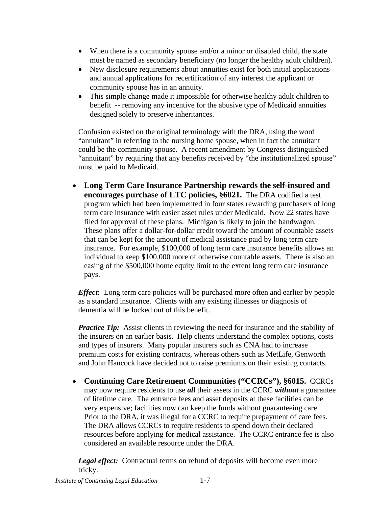- When there is a community spouse and/or a minor or disabled child, the state must be named as secondary beneficiary (no longer the healthy adult children).
- New disclosure requirements about annuities exist for both initial applications and annual applications for recertification of any interest the applicant or community spouse has in an annuity.
- This simple change made it impossible for otherwise healthy adult children to benefit -- removing any incentive for the abusive type of Medicaid annuities designed solely to preserve inheritances.

Confusion existed on the original terminology with the DRA, using the word "annuitant" in referring to the nursing home spouse, when in fact the annuitant could be the community spouse. A recent amendment by Congress distinguished "annuitant" by requiring that any benefits received by "the institutionalized spouse" must be paid to Medicaid.

• **Long Term Care Insurance Partnership rewards the self-insured and encourages purchase of LTC policies, §6021.** The DRA codified a test program which had been implemented in four states rewarding purchasers of long term care insurance with easier asset rules under Medicaid. Now 22 states have filed for approval of these plans. Michigan is likely to join the bandwagon. These plans offer a dollar-for-dollar credit toward the amount of countable assets that can be kept for the amount of medical assistance paid by long term care insurance. For example, \$100,000 of long term care insurance benefits allows an individual to keep \$100,000 more of otherwise countable assets. There is also an easing of the \$500,000 home equity limit to the extent long term care insurance pays.

*Effect***:** Long term care policies will be purchased more often and earlier by people as a standard insurance. Clients with any existing illnesses or diagnosis of dementia will be locked out of this benefit.

*Practice Tip:* Assist clients in reviewing the need for insurance and the stability of the insurers on an earlier basis. Help clients understand the complex options, costs and types of insurers. Many popular insurers such as CNA had to increase premium costs for existing contracts, whereas others such as MetLife, Genworth and John Hancock have decided not to raise premiums on their existing contacts.

• **Continuing Care Retirement Communities ("CCRCs"), §6015.** CCRCs may now require residents to use *all* their assets in the CCRC *without* a guarantee of lifetime care. The entrance fees and asset deposits at these facilities can be very expensive; facilities now can keep the funds without guaranteeing care. Prior to the DRA, it was illegal for a CCRC to require prepayment of care fees. The DRA allows CCRCs to require residents to spend down their declared resources before applying for medical assistance. The CCRC entrance fee is also considered an available resource under the DRA.

*Legal effect:* Contractual terms on refund of deposits will become even more tricky.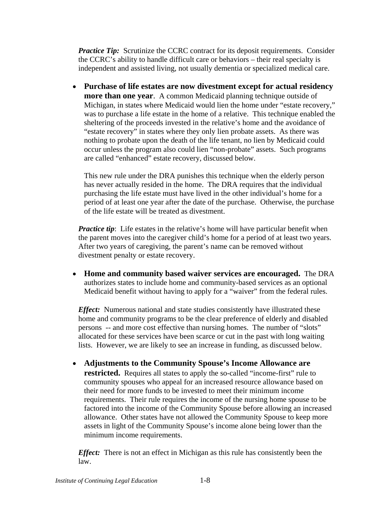*Practice Tip:* Scrutinize the CCRC contract for its deposit requirements. Consider the CCRC's ability to handle difficult care or behaviors – their real specialty is independent and assisted living, not usually dementia or specialized medical care.

• **Purchase of life estates are now divestment except for actual residency more than one year**. A common Medicaid planning technique outside of Michigan, in states where Medicaid would lien the home under "estate recovery," was to purchase a life estate in the home of a relative. This technique enabled the sheltering of the proceeds invested in the relative's home and the avoidance of "estate recovery" in states where they only lien probate assets. As there was nothing to probate upon the death of the life tenant, no lien by Medicaid could occur unless the program also could lien "non-probate" assets. Such programs are called "enhanced" estate recovery, discussed below.

This new rule under the DRA punishes this technique when the elderly person has never actually resided in the home. The DRA requires that the individual purchasing the life estate must have lived in the other individual's home for a period of at least one year after the date of the purchase. Otherwise, the purchase of the life estate will be treated as divestment.

*Practice tip*: Life estates in the relative's home will have particular benefit when the parent moves into the caregiver child's home for a period of at least two years. After two years of caregiving, the parent's name can be removed without divestment penalty or estate recovery.

• **Home and community based waiver services are encouraged.** The DRA authorizes states to include home and community-based services as an optional Medicaid benefit without having to apply for a "waiver" from the federal rules.

*Effect:* Numerous national and state studies consistently have illustrated these home and community programs to be the clear preference of elderly and disabled persons -- and more cost effective than nursing homes. The number of "slots" allocated for these services have been scarce or cut in the past with long waiting lists. However, we are likely to see an increase in funding, as discussed below.

• **Adjustments to the Community Spouse's Income Allowance are restricted.** Requires all states to apply the so-called "income-first" rule to community spouses who appeal for an increased resource allowance based on their need for more funds to be invested to meet their minimum income requirements. Their rule requires the income of the nursing home spouse to be factored into the income of the Community Spouse before allowing an increased allowance. Other states have not allowed the Community Spouse to keep more assets in light of the Community Spouse's income alone being lower than the minimum income requirements.

*Effect:* There is not an effect in Michigan as this rule has consistently been the law.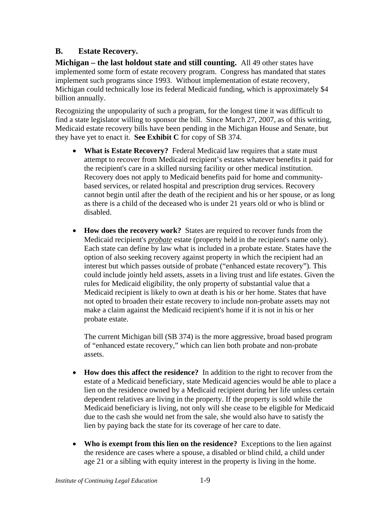## **B. Estate Recovery.**

**Michigan – the last holdout state and still counting.** All 49 other states have implemented some form of estate recovery program. Congress has mandated that states implement such programs since 1993. Without implementation of estate recovery, Michigan could technically lose its federal Medicaid funding, which is approximately \$4 billion annually.

Recognizing the unpopularity of such a program, for the longest time it was difficult to find a state legislator willing to sponsor the bill. Since March 27, 2007, as of this writing, Medicaid estate recovery bills have been pending in the Michigan House and Senate, but they have yet to enact it. **See Exhibit C** for copy of SB 374.

- **What is Estate Recovery?** Federal Medicaid law requires that a state must attempt to recover from Medicaid recipient's estates whatever benefits it paid for the recipient's care in a skilled nursing facility or other medical institution. Recovery does not apply to Medicaid benefits paid for home and communitybased services, or related hospital and prescription drug services. Recovery cannot begin until after the death of the recipient and his or her spouse, or as long as there is a child of the deceased who is under 21 years old or who is blind or disabled.
- **How does the recovery work?** States are required to recover funds from the Medicaid recipient's *probate* estate (property held in the recipient's name only). Each state can define by law what is included in a probate estate. States have the option of also seeking recovery against property in which the recipient had an interest but which passes outside of probate ("enhanced estate recovery"). This could include jointly held assets, assets in a living trust and life estates. Given the rules for Medicaid eligibility, the only property of substantial value that a Medicaid recipient is likely to own at death is his or her home. States that have not opted to broaden their estate recovery to include non-probate assets may not make a claim against the Medicaid recipient's home if it is not in his or her probate estate.

The current Michigan bill (SB 374) is the more aggressive, broad based program of "enhanced estate recovery," which can lien both probate and non-probate assets.

- **How does this affect the residence?** In addition to the right to recover from the estate of a Medicaid beneficiary, state Medicaid agencies would be able to place a lien on the residence owned by a Medicaid recipient during her life unless certain dependent relatives are living in the property. If the property is sold while the Medicaid beneficiary is living, not only will she cease to be eligible for Medicaid due to the cash she would net from the sale, she would also have to satisfy the lien by paying back the state for its coverage of her care to date.
- **Who is exempt from this lien on the residence?** Exceptions to the lien against the residence are cases where a spouse, a disabled or blind child, a child under age 21 or a sibling with equity interest in the property is living in the home.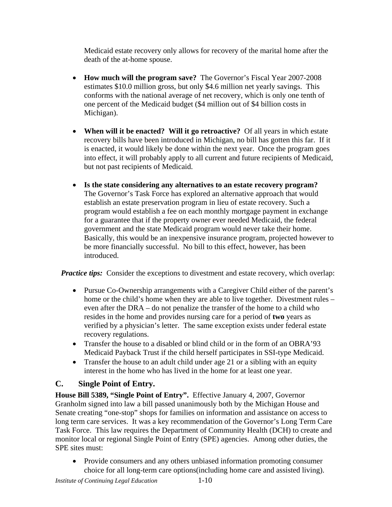Medicaid estate recovery only allows for recovery of the marital home after the death of the at-home spouse.

- **How much will the program save?** The Governor's Fiscal Year 2007-2008 estimates \$10.0 million gross, but only \$4.6 million net yearly savings. This conforms with the national average of net recovery, which is only one tenth of one percent of the Medicaid budget (\$4 million out of \$4 billion costs in Michigan).
- **When will it be enacted? Will it go retroactive?** Of all years in which estate recovery bills have been introduced in Michigan, no bill has gotten this far. If it is enacted, it would likely be done within the next year. Once the program goes into effect, it will probably apply to all current and future recipients of Medicaid, but not past recipients of Medicaid.
- **Is the state considering any alternatives to an estate recovery program?**  The Governor's Task Force has explored an alternative approach that would establish an estate preservation program in lieu of estate recovery. Such a program would establish a fee on each monthly mortgage payment in exchange for a guarantee that if the property owner ever needed Medicaid, the federal government and the state Medicaid program would never take their home. Basically, this would be an inexpensive insurance program, projected however to be more financially successful. No bill to this effect, however, has been introduced.

*Practice tips:* Consider the exceptions to divestment and estate recovery, which overlap:

- Pursue Co-Ownership arrangements with a Caregiver Child either of the parent's home or the child's home when they are able to live together. Divestment rules – even after the DRA – do not penalize the transfer of the home to a child who resides in the home and provides nursing care for a period of **two** years as verified by a physician's letter. The same exception exists under federal estate recovery regulations.
- Transfer the house to a disabled or blind child or in the form of an OBRA'93 Medicaid Payback Trust if the child herself participates in SSI-type Medicaid.
- Transfer the house to an adult child under age 21 or a sibling with an equity interest in the home who has lived in the home for at least one year.

## **C. Single Point of Entry.**

**House Bill 5389, "Single Point of Entry".** Effective January 4, 2007, Governor Granholm signed into law a bill passed unanimously both by the Michigan House and Senate creating "one-stop" shops for families on information and assistance on access to long term care services. It was a key recommendation of the Governor's Long Term Care Task Force. This law requires the Department of Community Health (DCH) to create and monitor local or regional Single Point of Entry (SPE) agencies. Among other duties, the SPE sites must:

• Provide consumers and any others unbiased information promoting consumer choice for all long-term care options(including home care and assisted living).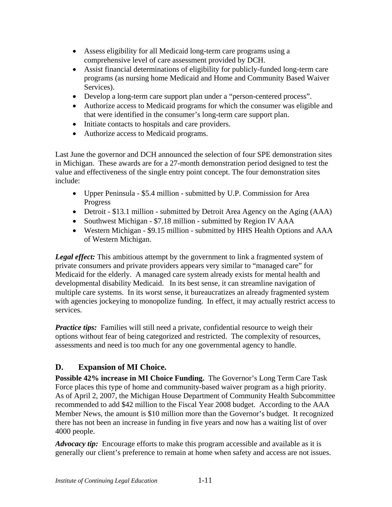- Assess eligibility for all Medicaid long-term care programs using a comprehensive level of care assessment provided by DCH.
- Assist financial determinations of eligibility for publicly-funded long-term care programs (as nursing home Medicaid and Home and Community Based Waiver Services).
- Develop a long-term care support plan under a "person-centered process".
- Authorize access to Medicaid programs for which the consumer was eligible and that were identified in the consumer's long-term care support plan.
- Initiate contacts to hospitals and care providers.
- Authorize access to Medicaid programs.

Last June the governor and DCH announced the selection of four SPE demonstration sites in Michigan. These awards are for a 27-month demonstration period designed to test the value and effectiveness of the single entry point concept. The four demonstration sites include:

- Upper Peninsula \$5.4 million submitted by U.P. Commission for Area Progress
- Detroit \$13.1 million submitted by Detroit Area Agency on the Aging (AAA)
- Southwest Michigan \$7.18 million submitted by Region IV AAA
- Western Michigan \$9.15 million submitted by HHS Health Options and AAA of Western Michigan.

**Legal effect:** This ambitious attempt by the government to link a fragmented system of private consumers and private providers appears very similar to "managed care" for Medicaid for the elderly. A managed care system already exists for mental health and developmental disability Medicaid. In its best sense, it can streamline navigation of multiple care systems. In its worst sense, it bureaucratizes an already fragmented system with agencies jockeying to monopolize funding. In effect, it may actually restrict access to services.

*Practice tips:* Families will still need a private, confidential resource to weigh their options without fear of being categorized and restricted. The complexity of resources, assessments and need is too much for any one governmental agency to handle.

## **D. Expansion of MI Choice.**

**Possible 42% increase in MI Choice Funding.** The Governor's Long Term Care Task Force places this type of home and community-based waiver program as a high priority. As of April 2, 2007, the Michigan House Department of Community Health Subcommittee recommended to add \$42 million to the Fiscal Year 2008 budget. According to the AAA Member News, the amount is \$10 million more than the Governor's budget. It recognized there has not been an increase in funding in five years and now has a waiting list of over 4000 people.

*Advocacy tip:* Encourage efforts to make this program accessible and available as it is generally our client's preference to remain at home when safety and access are not issues.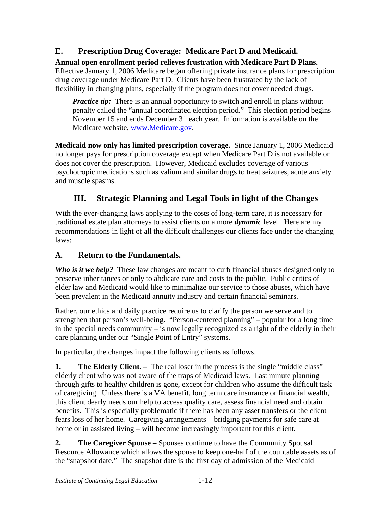## **E. Prescription Drug Coverage: Medicare Part D and Medicaid.**

**Annual open enrollment period relieves frustration with Medicare Part D Plans.** Effective January 1, 2006 Medicare began offering private insurance plans for prescription drug coverage under Medicare Part D. Clients have been frustrated by the lack of flexibility in changing plans, especially if the program does not cover needed drugs.

*Practice tip:* There is an annual opportunity to switch and enroll in plans without penalty called the "annual coordinated election period." This election period begins November 15 and ends December 31 each year. Information is available on the Medicare website, www.Medicare.gov.

**Medicaid now only has limited prescription coverage.** Since January 1, 2006 Medicaid no longer pays for prescription coverage except when Medicare Part D is not available or does not cover the prescription. However, Medicaid excludes coverage of various psychotropic medications such as valium and similar drugs to treat seizures, acute anxiety and muscle spasms.

## **III. Strategic Planning and Legal Tools in light of the Changes**

With the ever-changing laws applying to the costs of long-term care, it is necessary for traditional estate plan attorneys to assist clients on a more *dynamic* level. Here are my recommendations in light of all the difficult challenges our clients face under the changing laws:

## **A. Return to the Fundamentals.**

*Who is it we help?* These law changes are meant to curb financial abuses designed only to preserve inheritances or only to abdicate care and costs to the public. Public critics of elder law and Medicaid would like to minimalize our service to those abuses, which have been prevalent in the Medicaid annuity industry and certain financial seminars.

Rather, our ethics and daily practice require us to clarify the person we serve and to strengthen that person's well-being. "Person-centered planning" – popular for a long time in the special needs community – is now legally recognized as a right of the elderly in their care planning under our "Single Point of Entry" systems.

In particular, the changes impact the following clients as follows.

**1. The Elderly Client.** – The real loser in the process is the single "middle class" elderly client who was not aware of the traps of Medicaid laws. Last minute planning through gifts to healthy children is gone, except for children who assume the difficult task of caregiving. Unless there is a VA benefit, long term care insurance or financial wealth, this client dearly needs our help to access quality care, assess financial need and obtain benefits. This is especially problematic if there has been any asset transfers or the client fears loss of her home. Caregiving arrangements – bridging payments for safe care at home or in assisted living – will become increasingly important for this client.

**2. The Caregiver Spouse –** Spouses continue to have the Community Spousal Resource Allowance which allows the spouse to keep one-half of the countable assets as of the "snapshot date." The snapshot date is the first day of admission of the Medicaid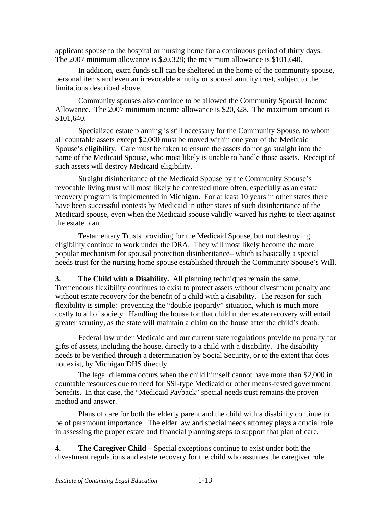applicant spouse to the hospital or nursing home for a continuous period of thirty days. The 2007 minimum allowance is \$20,328; the maximum allowance is \$101,640.

In addition, extra funds still can be sheltered in the home of the community spouse, personal items and even an irrevocable annuity or spousal annuity trust, subject to the limitations described above.

Community spouses also continue to be allowed the Community Spousal Income Allowance. The 2007 minimum income allowance is \$20,328. The maximum amount is \$101,640.

Specialized estate planning is still necessary for the Community Spouse, to whom all countable assets except \$2,000 must be moved within one year of the Medicaid Spouse's eligibility. Care must be taken to ensure the assets do not go straight into the name of the Medicaid Spouse, who most likely is unable to handle those assets. Receipt of such assets will destroy Medicaid eligibility.

Straight disinheritance of the Medicaid Spouse by the Community Spouse's revocable living trust will most likely be contested more often, especially as an estate recovery program is implemented in Michigan. For at least 10 years in other states there have been successful contests by Medicaid in other states of such disinheritance of the Medicaid spouse, even when the Medicaid spouse validly waived his rights to elect against the estate plan.

Testamentary Trusts providing for the Medicaid Spouse, but not destroying eligibility continue to work under the DRA. They will most likely become the more popular mechanism for spousal protection disinheritance– which is basically a special needs trust for the nursing home spouse established through the Community Spouse's Will.

**3. The Child with a Disability.** All planning techniques remain the same. Tremendous flexibility continues to exist to protect assets without divestment penalty and without estate recovery for the benefit of a child with a disability. The reason for such flexibility is simple: preventing the "double jeopardy" situation, which is much more costly to all of society. Handling the house for that child under estate recovery will entail greater scrutiny, as the state will maintain a claim on the house after the child's death.

Federal law under Medicaid and our current state regulations provide no penalty for gifts of assets, including the house, directly to a child with a disability. The disability needs to be verified through a determination by Social Security, or to the extent that does not exist, by Michigan DHS directly.

 The legal dilemma occurs when the child himself cannot have more than \$2,000 in countable resources due to need for SSI-type Medicaid or other means-tested government benefits. In that case, the "Medicaid Payback" special needs trust remains the proven method and answer.

 Plans of care for both the elderly parent and the child with a disability continue to be of paramount importance. The elder law and special needs attorney plays a crucial role in assessing the proper estate and financial planning steps to support that plan of care.

**4. The Caregiver Child –** Special exceptions continue to exist under both the divestment regulations and estate recovery for the child who assumes the caregiver role.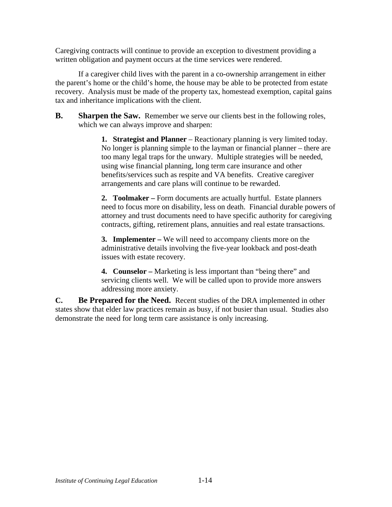Caregiving contracts will continue to provide an exception to divestment providing a written obligation and payment occurs at the time services were rendered.

If a caregiver child lives with the parent in a co-ownership arrangement in either the parent's home or the child's home, the house may be able to be protected from estate recovery. Analysis must be made of the property tax, homestead exemption, capital gains tax and inheritance implications with the client.

**B.** Sharpen the Saw. Remember we serve our clients best in the following roles, which we can always improve and sharpen:

> **1. Strategist and Planner** – Reactionary planning is very limited today. No longer is planning simple to the layman or financial planner – there are too many legal traps for the unwary. Multiple strategies will be needed, using wise financial planning, long term care insurance and other benefits/services such as respite and VA benefits. Creative caregiver arrangements and care plans will continue to be rewarded.

**2. Toolmaker –** Form documents are actually hurtful. Estate planners need to focus more on disability, less on death. Financial durable powers of attorney and trust documents need to have specific authority for caregiving contracts, gifting, retirement plans, annuities and real estate transactions.

**3. Implementer –** We will need to accompany clients more on the administrative details involving the five-year lookback and post-death issues with estate recovery.

**4. Counselor –** Marketing is less important than "being there" and servicing clients well. We will be called upon to provide more answers addressing more anxiety.

**C. Be Prepared for the Need.** Recent studies of the DRA implemented in other states show that elder law practices remain as busy, if not busier than usual. Studies also demonstrate the need for long term care assistance is only increasing.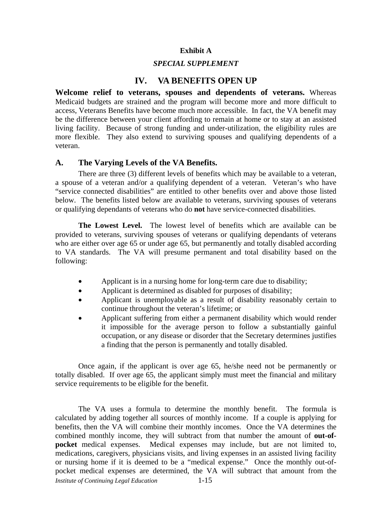#### **Exhibit A**

### *SPECIAL SUPPLEMENT*

## **IV. VA BENEFITS OPEN UP**

**Welcome relief to veterans, spouses and dependents of veterans.** Whereas Medicaid budgets are strained and the program will become more and more difficult to access, Veterans Benefits have become much more accessible. In fact, the VA benefit may be the difference between your client affording to remain at home or to stay at an assisted living facility. Because of strong funding and under-utilization, the eligibility rules are more flexible. They also extend to surviving spouses and qualifying dependents of a veteran.

#### **A. The Varying Levels of the VA Benefits.**

 There are three (3) different levels of benefits which may be available to a veteran, a spouse of a veteran and/or a qualifying dependent of a veteran. Veteran's who have "service connected disabilities" are entitled to other benefits over and above those listed below. The benefits listed below are available to veterans, surviving spouses of veterans or qualifying dependants of veterans who do **not** have service-connected disabilities.

**The Lowest Level.** The lowest level of benefits which are available can be provided to veterans, surviving spouses of veterans or qualifying dependants of veterans who are either over age 65 or under age 65, but permanently and totally disabled according to VA standards. The VA will presume permanent and total disability based on the following:

- Applicant is in a nursing home for long-term care due to disability;
- Applicant is determined as disabled for purposes of disability;
- Applicant is unemployable as a result of disability reasonably certain to continue throughout the veteran's lifetime; or
- Applicant suffering from either a permanent disability which would render it impossible for the average person to follow a substantially gainful occupation, or any disease or disorder that the Secretary determines justifies a finding that the person is permanently and totally disabled.

Once again, if the applicant is over age 65, he/she need not be permanently or totally disabled. If over age 65, the applicant simply must meet the financial and military service requirements to be eligible for the benefit.

*Institute of Continuing Legal Education* 1-15 The VA uses a formula to determine the monthly benefit. The formula is calculated by adding together all sources of monthly income. If a couple is applying for benefits, then the VA will combine their monthly incomes. Once the VA determines the combined monthly income, they will subtract from that number the amount of **out-ofpocket** medical expenses. Medical expenses may include, but are not limited to, medications, caregivers, physicians visits, and living expenses in an assisted living facility or nursing home if it is deemed to be a "medical expense." Once the monthly out-ofpocket medical expenses are determined, the VA will subtract that amount from the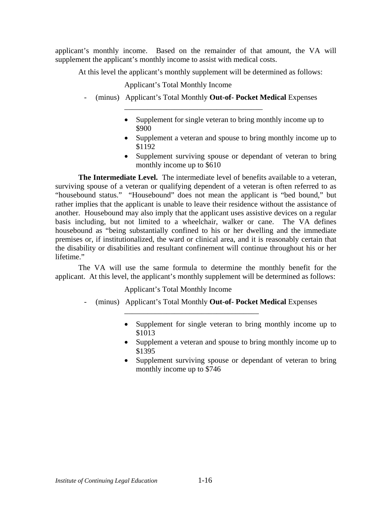applicant's monthly income. Based on the remainder of that amount, the VA will supplement the applicant's monthly income to assist with medical costs.

At this level the applicant's monthly supplement will be determined as follows:

Applicant's Total Monthly Income

- (minus) Applicant's Total Monthly **Out-of- Pocket Medical** Expenses

\_\_\_\_\_\_\_\_\_\_\_\_\_\_\_\_\_\_\_\_\_\_\_\_\_\_\_\_\_\_\_\_\_\_\_\_

- Supplement for single veteran to bring monthly income up to \$900
- Supplement a veteran and spouse to bring monthly income up to \$1192
- Supplement surviving spouse or dependant of veteran to bring monthly income up to \$610

**The Intermediate Level.** The intermediate level of benefits available to a veteran, surviving spouse of a veteran or qualifying dependent of a veteran is often referred to as "housebound status." "Housebound" does not mean the applicant is "bed bound," but rather implies that the applicant is unable to leave their residence without the assistance of another. Housebound may also imply that the applicant uses assistive devices on a regular basis including, but not limited to a wheelchair, walker or cane. The VA defines housebound as "being substantially confined to his or her dwelling and the immediate premises or, if institutionalized, the ward or clinical area, and it is reasonably certain that the disability or disabilities and resultant confinement will continue throughout his or her lifetime."

The VA will use the same formula to determine the monthly benefit for the applicant. At this level, the applicant's monthly supplement will be determined as follows:

Applicant's Total Monthly Income

- (minus) Applicant's Total Monthly **Out-of- Pocket Medical** Expenses

\_\_\_\_\_\_\_\_\_\_\_\_\_\_\_\_\_\_\_\_\_\_\_\_\_\_\_\_\_\_\_\_\_\_\_

- Supplement for single veteran to bring monthly income up to \$1013
- Supplement a veteran and spouse to bring monthly income up to \$1395
- Supplement surviving spouse or dependant of veteran to bring monthly income up to \$746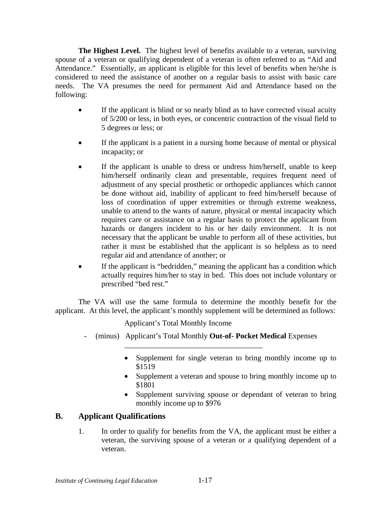**The Highest Level.** The highest level of benefits available to a veteran, surviving spouse of a veteran or qualifying dependent of a veteran is often referred to as "Aid and Attendance." Essentially, an applicant is eligible for this level of benefits when he/she is considered to need the assistance of another on a regular basis to assist with basic care needs. The VA presumes the need for permanent Aid and Attendance based on the following:

- If the applicant is blind or so nearly blind as to have corrected visual acuity of 5/200 or less, in both eyes, or concentric contraction of the visual field to 5 degrees or less; or
- If the applicant is a patient in a nursing home because of mental or physical incapacity; or
- If the applicant is unable to dress or undress him/herself, unable to keep him/herself ordinarily clean and presentable, requires frequent need of adjustment of any special prosthetic or orthopedic appliances which cannot be done without aid, inability of applicant to feed him/herself because of loss of coordination of upper extremities or through extreme weakness, unable to attend to the wants of nature, physical or mental incapacity which requires care or assistance on a regular basis to protect the applicant from hazards or dangers incident to his or her daily environment. It is not necessary that the applicant be unable to perform all of these activities, but rather it must be established that the applicant is so helpless as to need regular aid and attendance of another; or
- If the applicant is "bedridden," meaning the applicant has a condition which actually requires him/her to stay in bed. This does not include voluntary or prescribed "bed rest."

The VA will use the same formula to determine the monthly benefit for the applicant. At this level, the applicant's monthly supplement will be determined as follows:

Applicant's Total Monthly Income

- (minus) Applicant's Total Monthly **Out-of- Pocket Medical** Expenses

\_\_\_\_\_\_\_\_\_\_\_\_\_\_\_\_\_\_\_\_\_\_\_\_\_\_\_\_\_\_\_\_\_\_\_\_

- Supplement for single veteran to bring monthly income up to \$1519
- Supplement a veteran and spouse to bring monthly income up to \$1801
- Supplement surviving spouse or dependant of veteran to bring monthly income up to \$976

### **B. Applicant Qualifications**

1. In order to qualify for benefits from the VA, the applicant must be either a veteran, the surviving spouse of a veteran or a qualifying dependent of a veteran.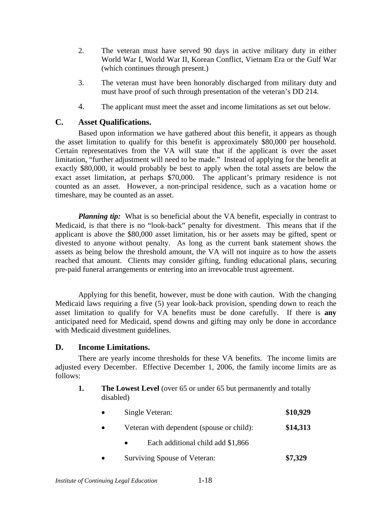- 2. The veteran must have served 90 days in active military duty in either World War I, World War II, Korean Conflict, Vietnam Era or the Gulf War (which continues through present.)
- 3. The veteran must have been honorably discharged from military duty and must have proof of such through presentation of the veteran's DD 214.
- 4. The applicant must meet the asset and income limitations as set out below.

### **C. Asset Qualifications.**

Based upon information we have gathered about this benefit, it appears as though the asset limitation to qualify for this benefit is approximately \$80,000 per household. Certain representatives from the VA will state that if the applicant is over the asset limitation, "further adjustment will need to be made." Instead of applying for the benefit at exactly \$80,000, it would probably be best to apply when the total assets are below the exact asset limitation, at perhaps \$70,000. The applicant's primary residence is not counted as an asset. However, a non-principal residence, such as a vacation home or timeshare, may be counted as an asset.

*Planning tip:* What is so beneficial about the VA benefit, especially in contrast to Medicaid, is that there is no "look-back" penalty for divestment. This means that if the applicant is above the \$80,000 asset limitation, his or her assets may be gifted, spent or divested to anyone without penalty. As long as the current bank statement shows the assets as being below the threshold amount, the VA will not inquire as to how the assets reached that amount. Clients may consider gifting, funding educational plans, securing pre-paid funeral arrangements or entering into an irrevocable trust agreement.

Applying for this benefit, however, must be done with caution. With the changing Medicaid laws requiring a five (5) year look-back provision, spending down to reach the asset limitation to qualify for VA benefits must be done carefully. If there is **any** anticipated need for Medicaid, spend downs and gifting may only be done in accordance with Medicaid divestment guidelines.

### **D. Income Limitations.**

There are yearly income thresholds for these VA benefits. The income limits are adjusted every December. Effective December 1, 2006, the family income limits are as follows:

- **1.** The Lowest Level (over 65 or under 65 but permanently and totally disabled)
	- Single Veteran: **\$10,929**
	- Veteran with dependent (spouse or child): **\$14,313** 
		- Each additional child add \$1,866
	- Surviving Spouse of Veteran: **\$7,329**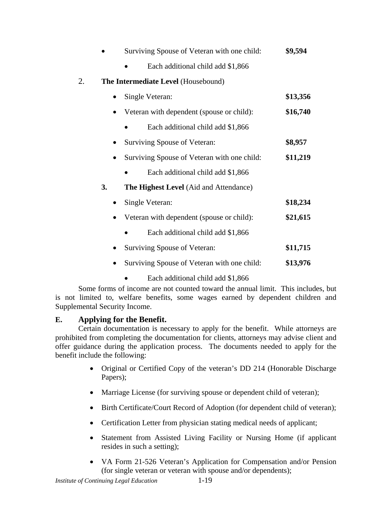|    |    | Surviving Spouse of Veteran with one child: | \$9,594  |
|----|----|---------------------------------------------|----------|
|    |    | Each additional child add \$1,866           |          |
| 2. |    | The Intermediate Level (Housebound)         |          |
|    |    | Single Veteran:                             | \$13,356 |
|    |    | Veteran with dependent (spouse or child):   | \$16,740 |
|    |    | Each additional child add \$1,866           |          |
|    |    | Surviving Spouse of Veteran:                | \$8,957  |
|    |    | Surviving Spouse of Veteran with one child: | \$11,219 |
|    |    | Each additional child add \$1,866           |          |
|    | 3. | The Highest Level (Aid and Attendance)      |          |
|    |    | Single Veteran:                             | \$18,234 |
|    |    | Veteran with dependent (spouse or child):   | \$21,615 |
|    |    | Each additional child add \$1,866           |          |
|    |    | Surviving Spouse of Veteran:                | \$11,715 |
|    |    | Surviving Spouse of Veteran with one child: | \$13,976 |
|    |    |                                             |          |

• Each additional child add \$1,866

Some forms of income are not counted toward the annual limit. This includes, but is not limited to, welfare benefits, some wages earned by dependent children and Supplemental Security Income.

### **E. Applying for the Benefit.**

Certain documentation is necessary to apply for the benefit. While attorneys are prohibited from completing the documentation for clients, attorneys may advise client and offer guidance during the application process. The documents needed to apply for the benefit include the following:

- Original or Certified Copy of the veteran's DD 214 (Honorable Discharge Papers);
- Marriage License (for surviving spouse or dependent child of veteran);
- Birth Certificate/Court Record of Adoption (for dependent child of veteran);
- Certification Letter from physician stating medical needs of applicant;
- Statement from Assisted Living Facility or Nursing Home (if applicant resides in such a setting);
- VA Form 21-526 Veteran's Application for Compensation and/or Pension (for single veteran or veteran with spouse and/or dependents);